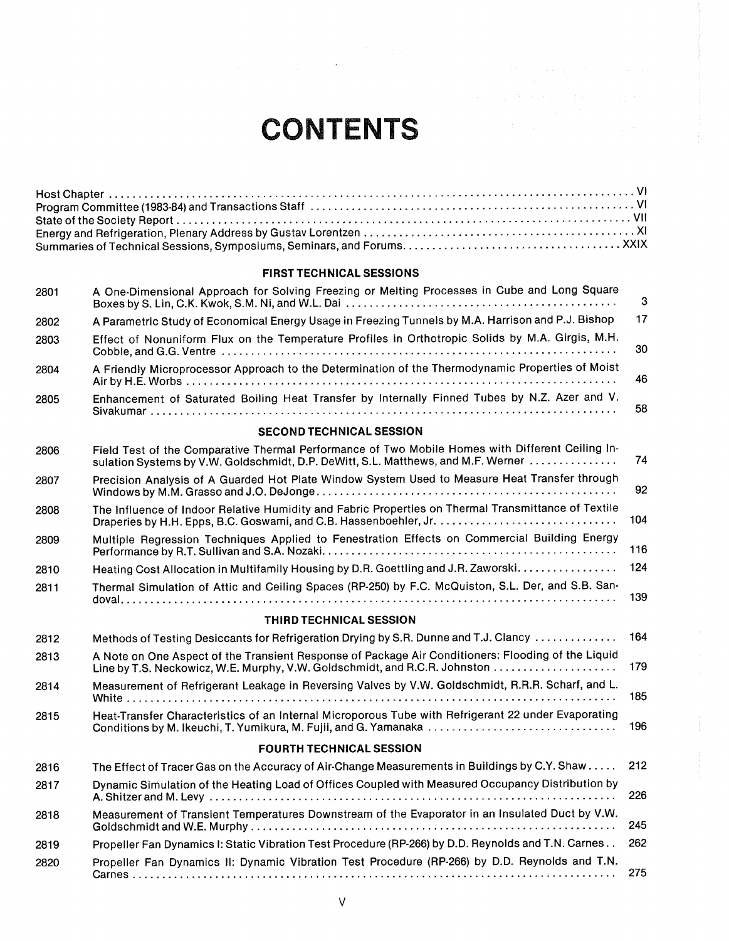# **CONTENTS**

 $\mathcal{A}$ 

### FIRST TECHNICAL SESSIONS

| 2801 | A One-Dimensional Approach for Solving Freezing or Melting Processes in Cube and Long Square                                                                                          | 3   |
|------|---------------------------------------------------------------------------------------------------------------------------------------------------------------------------------------|-----|
| 2802 | A Parametric Study of Economical Energy Usage in Freezing Tunnels by M.A. Harrison and P.J. Bishop                                                                                    | 17  |
| 2803 | Effect of Nonuniform Flux on the Temperature Profiles in Orthotropic Solids by M.A. Girgis, M.H.                                                                                      | 30  |
| 2804 | A Friendly Microprocessor Approach to the Determination of the Thermodynamic Properties of Moist                                                                                      | 46  |
| 2805 | Enhancement of Saturated Boiling Heat Transfer by Internally Finned Tubes by N.Z. Azer and V.                                                                                         | 58  |
|      | <b>SECOND TECHNICAL SESSION</b>                                                                                                                                                       |     |
| 2806 | Field Test of the Comparative Thermal Performance of Two Mobile Homes with Different Ceiling In-<br>sulation Systems by V.W. Goldschmidt, D.P. DeWitt, S.L. Matthews, and M.F. Werner | 74  |
| 2807 | Precision Analysis of A Guarded Hot Plate Window System Used to Measure Heat Transfer through                                                                                         | 92  |
| 2808 | The Influence of Indoor Relative Humidity and Fabric Properties on Thermal Transmittance of Textile                                                                                   | 104 |
| 2809 | Multiple Regression Techniques Applied to Fenestration Effects on Commercial Building Energy                                                                                          | 116 |
| 2810 | Heating Cost Allocation in Multifamily Housing by D.R. Goettling and J.R. Zaworski.                                                                                                   | 124 |
| 2811 | Thermal Simulation of Attic and Ceiling Spaces (RP-250) by F.C. McQuiston, S.L. Der, and S.B. San-                                                                                    | 139 |
|      | <b>THIRD TECHNICAL SESSION</b>                                                                                                                                                        |     |
| 2812 | Methods of Testing Desiccants for Refrigeration Drying by S.R. Dunne and T.J. Clancy                                                                                                  | 164 |
| 2813 | A Note on One Aspect of the Transient Response of Package Air Conditioners: Flooding of the Liquid<br>Line by T.S. Neckowicz, W.E. Murphy, V.W. Goldschmidt, and R.C.R. Johnston      | 179 |
| 2814 | Measurement of Refrigerant Leakage in Reversing Valves by V.W. Goldschmidt, R.R.R. Scharf, and L.                                                                                     | 185 |
| 2815 | Heat-Transfer Characteristics of an Internal Microporous Tube with Refrigerant 22 under Evaporating                                                                                   | 196 |
|      | <b>FOURTH TECHNICAL SESSION</b>                                                                                                                                                       |     |
| 2816 | The Effect of Tracer Gas on the Accuracy of Air-Change Measurements in Buildings by C.Y. Shaw                                                                                         | 212 |
| 2817 | Dynamic Simulation of the Heating Load of Offices Coupled with Measured Occupancy Distribution by                                                                                     | 226 |
| 2818 | Measurement of Transient Temperatures Downstream of the Evaporator in an Insulated Duct by V.W.                                                                                       | 245 |
| 2819 | Propeller Fan Dynamics I: Static Vibration Test Procedure (RP-266) by D.D. Reynolds and T.N. Carnes                                                                                   | 262 |
| 2820 | Propeller Fan Dynamics II: Dynamic Vibration Test Procedure (RP-266) by D.D. Reynolds and T.N.                                                                                        | 275 |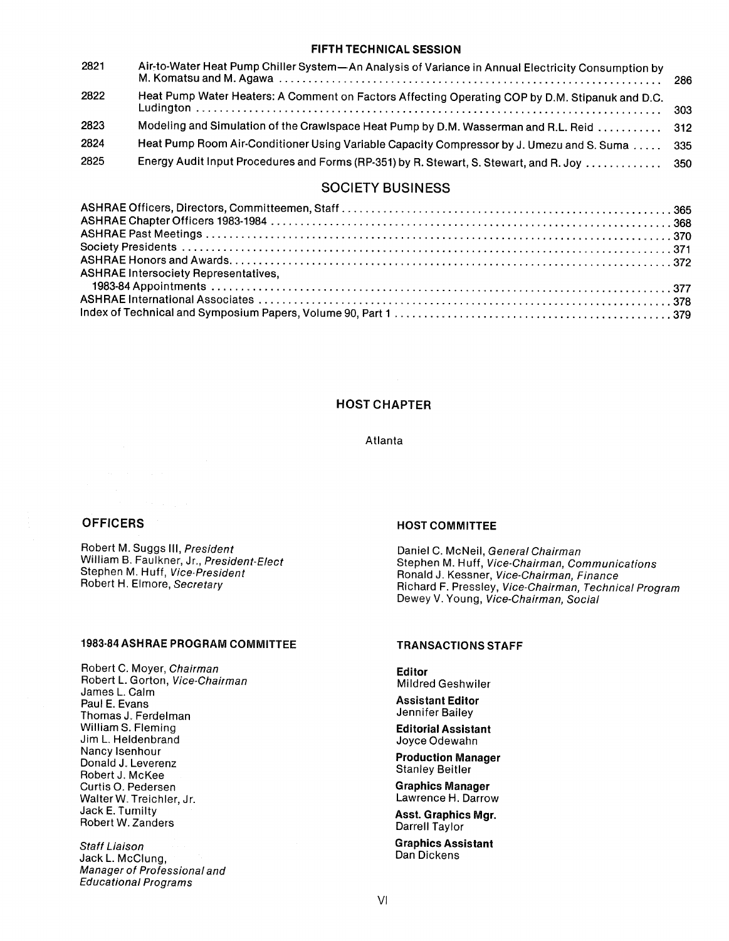# FIFTH TECHNICALSESSION

| 2821 | Air-to-Water Heat Pump Chiller System-An Analysis of Variance in Annual Electricity Consumption by | -286 |
|------|----------------------------------------------------------------------------------------------------|------|
| 2822 | Heat Pump Water Heaters: A Comment on Factors Affecting Operating COP by D.M. Stipanuk and D.C.    |      |
| 2823 | Modeling and Simulation of the Crawlspace Heat Pump by D.M. Wasserman and R.L. Reid  312           |      |
| 2824 | Heat Pump Room Air-Conditioner Using Variable Capacity Compressor by J. Umezu and S. Suma 335      |      |
| 2825 | Energy Audit Input Procedures and Forms (RP-351) by R. Stewart, S. Stewart, and R. Joy  350        |      |
|      |                                                                                                    |      |

# SOCIETY BUSINESS

| <b>ASHRAE Intersociety Representatives.</b> |  |
|---------------------------------------------|--|
|                                             |  |
|                                             |  |
|                                             |  |
|                                             |  |

# HOST CHAPTER

#### Atlanta

# **OFFICERS**

Robert M. Suggs III, President William B. Faulkner, Jr., President-Elect Stephen M. Huff, Vice-President Robert H. Elmore, Secretary

# 1983-84 ASHRAE PROGRAM COMMITTEE

Robert C. Moyer, Chairman Robert L. Gorton, Vice-Chairman Jarnes L. Calm Paul E. Evans ThOrnas J. Ferdelman William S. Fleming Jim L. Heldenbrand Nancylsenhour Donald J. Leverenz Robert J. McKee Curtis 0. Pedersen WalterW. Treichler, Jr. Jack E. Tumilty Robert W. Zanders

Staff Liaison Jack L. McClung, Manager of Professional and Educational Programs

#### **HOST COMMITTEE**

Daniel C. McNeil, General Chairman Stephen M. Huff, Vice-Chairman, Communications Ronald J. Kessner, Vice-Chairman, Finance Richard F. Pressley, Vice-Chairman, Technical Program Dewey V. Young, Vice-Chairman, Social

# TRANSACTIONS STAFF

Editor Mildred Geshwiler

Assistant Editor Jennifer Bailey

Editorial Assistant Joyce Odewahn

Production Manager Stanley Beitler

Graphics Manager Lawrence H. Darrow

Asst. Graphics Mgr. Darrell Taylor

Graphics Assistant Dan Dickens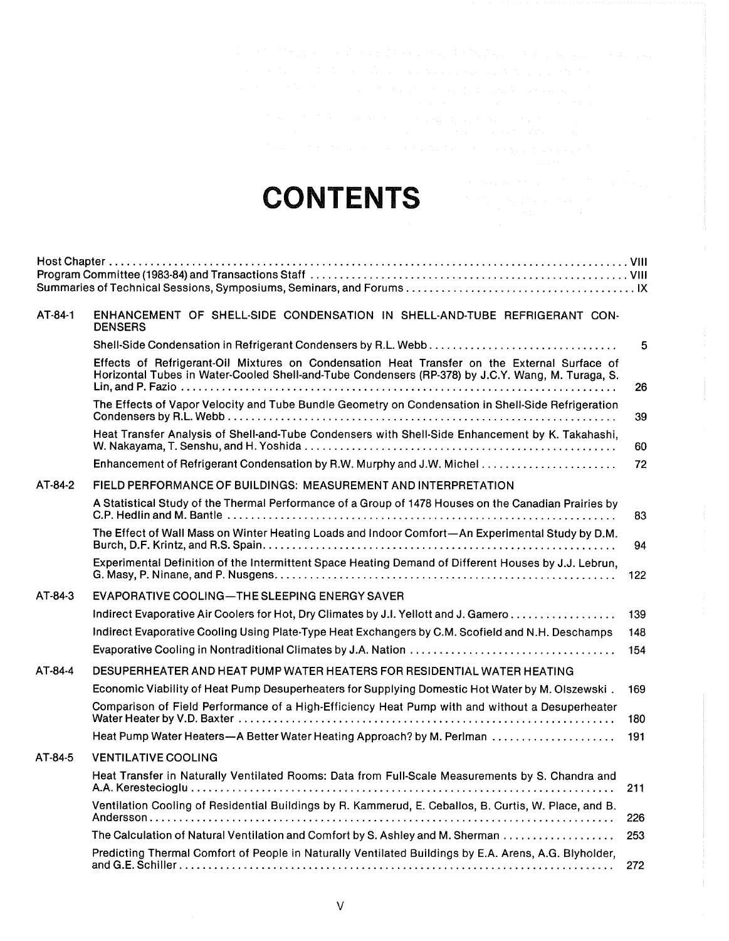# CONTENTS

| AT-84-1 | ENHANCEMENT OF SHELL-SIDE CONDENSATION IN SHELL-AND-TUBE REFRIGERANT CON-<br><b>DENSERS</b>                                                                                                       |     |
|---------|---------------------------------------------------------------------------------------------------------------------------------------------------------------------------------------------------|-----|
|         |                                                                                                                                                                                                   | 5   |
|         | Effects of Refrigerant-Oil Mixtures on Condensation Heat Transfer on the External Surface of<br>Horizontal Tubes in Water-Cooled Shell-and-Tube Condensers (RP-378) by J.C.Y. Wang, M. Turaga, S. | 26  |
|         | The Effects of Vapor Velocity and Tube Bundle Geometry on Condensation in Shell-Side Refrigeration                                                                                                | 39  |
|         | Heat Transfer Analysis of Shell-and-Tube Condensers with Shell-Side Enhancement by K. Takahashi,                                                                                                  | 60  |
|         |                                                                                                                                                                                                   | 72  |
| AT-84-2 | FIELD PERFORMANCE OF BUILDINGS: MEASUREMENT AND INTERPRETATION                                                                                                                                    |     |
|         | A Statistical Study of the Thermal Performance of a Group of 1478 Houses on the Canadian Prairies by                                                                                              | 83  |
|         | The Effect of Wall Mass on Winter Heating Loads and Indoor Comfort—An Experimental Study by D.M.                                                                                                  | 94  |
|         | Experimental Definition of the Intermittent Space Heating Demand of Different Houses by J.J. Lebrun,                                                                                              | 122 |
| AT-84-3 | EVAPORATIVE COOLING—THE SLEEPING ENERGY SAVER                                                                                                                                                     |     |
|         | Indirect Evaporative Air Coolers for Hot, Dry Climates by J.I. Yellott and J. Gamero                                                                                                              | 139 |
|         | Indirect Evaporative Cooling Using Plate-Type Heat Exchangers by C.M. Scofield and N.H. Deschamps                                                                                                 | 148 |
|         |                                                                                                                                                                                                   | 154 |
| AT-84-4 | DESUPERHEATER AND HEAT PUMP WATER HEATERS FOR RESIDENTIAL WATER HEATING                                                                                                                           |     |
|         | Economic Viability of Heat Pump Desuperheaters for Supplying Domestic Hot Water by M. Olszewski.                                                                                                  | 169 |
|         | Comparison of Field Performance of a High-Efficiency Heat Pump with and without a Desuperheater                                                                                                   | 180 |
|         | Heat Pump Water Heaters—A Better Water Heating Approach? by M. Perlman                                                                                                                            | 191 |
| AT-84-5 | <b>VENTILATIVE COOLING</b>                                                                                                                                                                        |     |
|         | Heat Transfer in Naturally Ventilated Rooms: Data from Full-Scale Measurements by S. Chandra and                                                                                                  | 211 |
|         | Ventilation Cooling of Residential Buildings by R. Kammerud, E. Ceballos, B. Curtis, W. Place, and B.                                                                                             | 226 |
|         | The Calculation of Natural Ventilation and Comfort by S. Ashley and M. Sherman                                                                                                                    | 253 |
|         | Predicting Thermal Comfort of People in Naturally Ventilated Buildings by E.A. Arens, A.G. Blyholder,                                                                                             | 272 |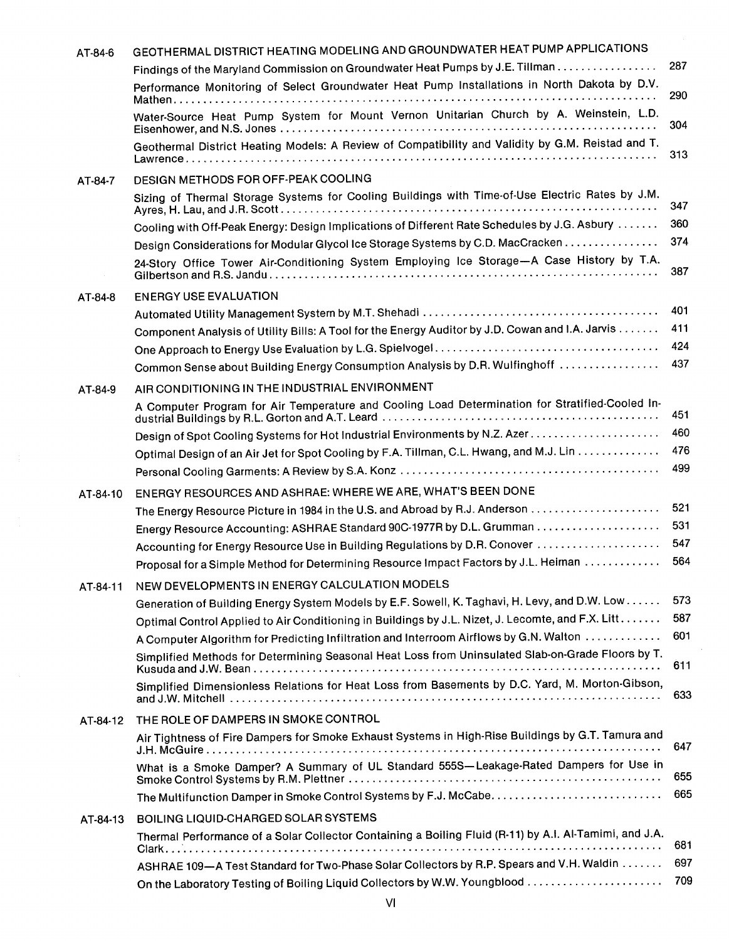| AT-84-6  | GEOTHERMAL DISTRICT HEATING MODELING AND GROUNDWATER HEAT PUMP APPLICATIONS                                                                                                                 |            |
|----------|---------------------------------------------------------------------------------------------------------------------------------------------------------------------------------------------|------------|
|          | Findings of the Maryland Commission on Groundwater Heat Pumps by J.E. Tillman                                                                                                               | 287        |
|          | Performance Monitoring of Select Groundwater Heat Pump Installations in North Dakota by D.V.                                                                                                | 290        |
|          | Water-Source Heat Pump System for Mount Vernon Unitarian Church by A. Weinstein, L.D.                                                                                                       | 304        |
|          | Geothermal District Heating Models: A Review of Compatibility and Validity by G.M. Reistad and T.                                                                                           | 313        |
| AT-84-7  | DESIGN METHODS FOR OFF-PEAK COOLING                                                                                                                                                         |            |
|          | Sizing of Thermal Storage Systems for Cooling Buildings with Time-of-Use Electric Rates by J.M.                                                                                             | 347        |
|          | Cooling with Off-Peak Energy: Design Implications of Different Rate Schedules by J.G. Asbury                                                                                                | 360        |
|          | Design Considerations for Modular Glycol Ice Storage Systems by C.D. MacCracken                                                                                                             | 374        |
|          | 24-Story Office Tower Air-Conditioning System Employing Ice Storage-A Case History by T.A.                                                                                                  | 387        |
| AT-84-8  | <b>ENERGY USE EVALUATION</b>                                                                                                                                                                |            |
|          |                                                                                                                                                                                             | 401        |
|          | Component Analysis of Utility Bills: A Tool for the Energy Auditor by J.D. Cowan and I.A. Jarvis                                                                                            | 411        |
|          |                                                                                                                                                                                             | 424        |
|          | Common Sense about Building Energy Consumption Analysis by D.R. Wulfinghoff                                                                                                                 | 437        |
| AT-84-9  | AIR CONDITIONING IN THE INDUSTRIAL ENVIRONMENT                                                                                                                                              |            |
|          | A Computer Program for Air Temperature and Cooling Load Determination for Stratified-Cooled In-                                                                                             | 451        |
|          |                                                                                                                                                                                             | 460        |
|          | Optimal Design of an Air Jet for Spot Cooling by F.A. Tillman, C.L. Hwang, and M.J. Lin                                                                                                     | 476        |
|          |                                                                                                                                                                                             | 499        |
| AT-84-10 | ENERGY RESOURCES AND ASHRAE: WHERE WE ARE, WHAT'S BEEN DONE                                                                                                                                 |            |
|          |                                                                                                                                                                                             | 521        |
|          |                                                                                                                                                                                             | 531        |
|          | Accounting for Energy Resource Use in Building Regulations by D.R. Conover                                                                                                                  | 547        |
|          | Proposal for a Simple Method for Determining Resource Impact Factors by J.L. Heiman                                                                                                         | 564        |
| AT-84-11 | NEW DEVELOPMENTS IN ENERGY CALCULATION MODELS                                                                                                                                               |            |
|          | Generation of Building Energy System Models by E.F. Sowell, K. Taghavi, H. Levy, and D.W. Low                                                                                               | 573<br>587 |
|          | Optimal Control Applied to Air Conditioning in Buildings by J.L. Nizet, J. Lecomte, and F.X. Litt                                                                                           | 601        |
|          | A Computer Algorithm for Predicting Infiltration and Interroom Airflows by G.N. Walton<br>Simplified Methods for Determining Seasonal Heat Loss from Uninsulated Slab-on-Grade Floors by T. | 611        |
|          | Simplified Dimensionless Relations for Heat Loss from Basements by D.C. Yard, M. Morton-Gibson,                                                                                             | 633        |
|          |                                                                                                                                                                                             |            |
| AT-84-12 | THE ROLE OF DAMPERS IN SMOKE CONTROL                                                                                                                                                        |            |
|          | Air Tightness of Fire Dampers for Smoke Exhaust Systems in High-Rise Buildings by G.T. Tamura and                                                                                           | 647        |
|          | What is a Smoke Damper? A Summary of UL Standard 555S-Leakage-Rated Dampers for Use in                                                                                                      | 655<br>665 |
|          |                                                                                                                                                                                             |            |
| AT-84-13 | BOILING LIQUID-CHARGED SOLAR SYSTEMS                                                                                                                                                        |            |
|          | Thermal Performance of a Solar Collector Containing a Boiling Fluid (R-11) by A.I. Al-Tamimi, and J.A.                                                                                      | 681        |
|          | ASHRAE 109-A Test Standard for Two-Phase Solar Collectors by R.P. Spears and V.H. Waldin                                                                                                    | 697        |
|          | On the Laboratory Testing of Boiling Liquid Collectors by W.W. Youngblood                                                                                                                   | 709        |